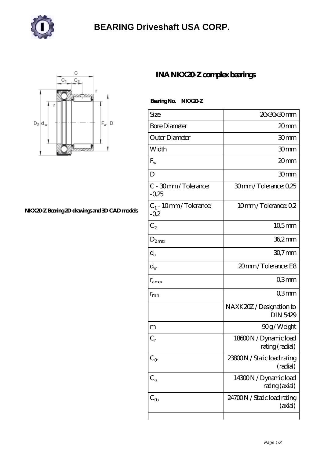

## **[BEARING Driveshaft USA CORP.](https://henschel-at.com)**



## **[NKX20-Z Bearing 2D drawings and 3D CAD models](https://henschel-at.com/pic-354095.html)**

## **[INA NKX20-Z complex bearings](https://henschel-at.com/ina-nkx20-z-bearing/)**

 **Bearing No. NKX20-Z**

| Size                              | 20x30x30mm                                  |
|-----------------------------------|---------------------------------------------|
| <b>Bore Diameter</b>              | 20mm                                        |
| Outer Diameter                    | 30mm                                        |
| Width                             | 30mm                                        |
| $F_{\rm w}$                       | 20mm                                        |
| D                                 | 30mm                                        |
| C - 30mm/Tolerance:<br>$-0.25$    | 30mm/Tolerance: 0,25                        |
| $C_1$ - 10mm/Tolerance:<br>$-0.2$ | 10mm/Tolerance: Q2                          |
| $C_2$                             | $105$ mm                                    |
| $D_{2max}$                        | 36,2mm                                      |
| $\mathrm{d}_{\mathrm{a}}$         | 30,7mm                                      |
| $\operatorname{d}_{\mathrm{w}}$   | 20mm/Tolerance: E8                          |
| $r_{\rm amax}$                    | Q3mm                                        |
| $r_{\rm min}$                     | Q3mm                                        |
|                                   | NAXK20Z / Designation to<br><b>DIN 5429</b> |
| m                                 | 90g/Weight                                  |
| $\mathbf{C}_\mathrm{r}$           | 18600N / Dynamic load<br>rating (radial)    |
| $C_{\alpha}$                      | 23800N / Static load rating<br>(radial)     |
| $C_{a}$                           | 14300N / Dynamic load<br>rating (axial)     |
| $C_{0a}$                          | 24700N / Static load rating<br>(axial)      |
|                                   |                                             |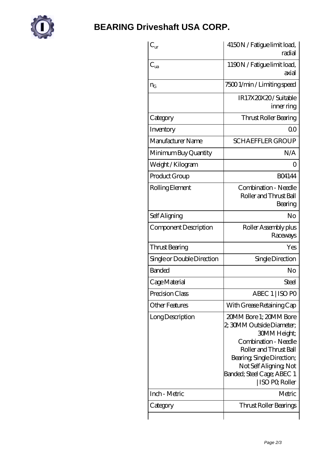

| $C_{\rm ur}$               | 4150N / Fatigue limit load,<br>radial                                                                                                                                                                                         |
|----------------------------|-------------------------------------------------------------------------------------------------------------------------------------------------------------------------------------------------------------------------------|
| $C_{ua}$                   | 1190N / Fatigue limit load,<br>axial                                                                                                                                                                                          |
| $n_{G}$                    | 75001/min/Limiting speed                                                                                                                                                                                                      |
|                            | IR17X20X20/Suitable<br>inner ring                                                                                                                                                                                             |
| Category                   | <b>Thrust Roller Bearing</b>                                                                                                                                                                                                  |
| Inventory                  | 00                                                                                                                                                                                                                            |
| Manufacturer Name          | <b>SCHAEFFLER GROUP</b>                                                                                                                                                                                                       |
| Minimum Buy Quantity       | N/A                                                                                                                                                                                                                           |
| Weight / Kilogram          | 0                                                                                                                                                                                                                             |
| Product Group              | <b>BO4144</b>                                                                                                                                                                                                                 |
| Rolling Element            | Combination - Needle<br>Roller and Thrust Ball<br>Bearing                                                                                                                                                                     |
| Self Aligning              | No                                                                                                                                                                                                                            |
| Component Description      | Roller Assembly plus<br>Raceways                                                                                                                                                                                              |
| Thrust Bearing             | Yes                                                                                                                                                                                                                           |
| Single or Double Direction | Single Direction                                                                                                                                                                                                              |
| <b>Banded</b>              | No                                                                                                                                                                                                                            |
| Cage Material              | Steel                                                                                                                                                                                                                         |
| Precision Class            | ABEC 1   ISO PO                                                                                                                                                                                                               |
| Other Features             | With Grease Retaining Cap                                                                                                                                                                                                     |
| Long Description           | 20MM Bore 1; 20MM Bore<br>2, 30MM Outside Diameter;<br>30MM Height;<br>Combination - Needle<br>Roller and Thrust Ball<br>Bearing, Single Direction;<br>Not Self Aligning, Not<br>Banded; Steel Cage; ABEC 1<br>ISO PO, Roller |
| Inch - Metric              | Metric                                                                                                                                                                                                                        |
| Category                   | Thrust Roller Bearings                                                                                                                                                                                                        |
|                            |                                                                                                                                                                                                                               |